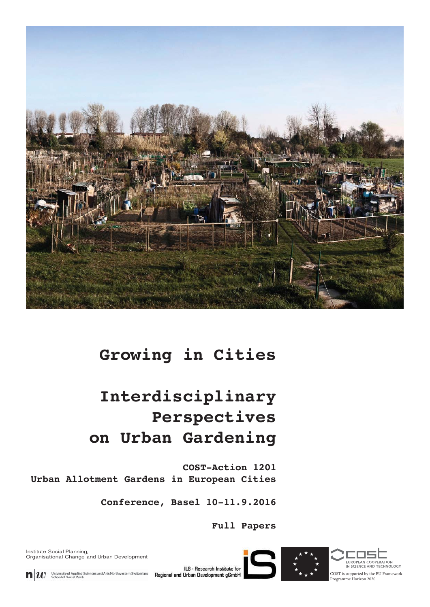

## **Growing in Cities**

# **Interdisciplinary Perspectives on Urban Gardening**

**COST-Action 1201 Urban Allotment Gardens in European Cities**

**Conference, Basel 10-11.9.2016**

**Full Papers**

Institute Social Planning, Organisational Change and Urban Development



University of Applied Sciences and Arts Northwestern Switzerland<br>School of Social Work  $\mathbf{n}|w$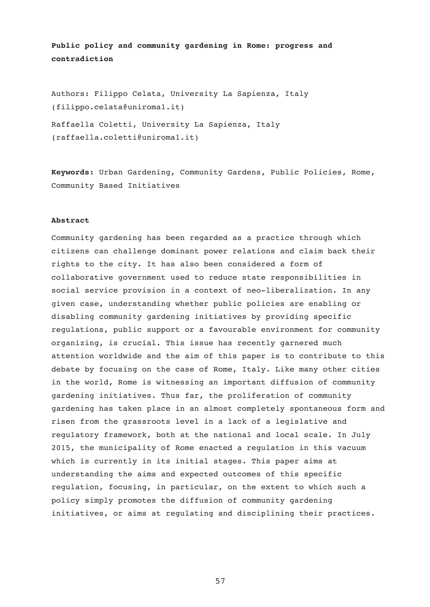**Public policy and community gardening in Rome: progress and contradiction** 

Authors: Filippo Celata, University La Sapienza, Italy (filippo.celata@uniroma1.it)

Raffaella Coletti, University La Sapienza, Italy (raffaella.coletti@uniroma1.it)

**Keywords:** Urban Gardening, Community Gardens, Public Policies, Rome, Community Based Initiatives

#### **Abstract**

Community gardening has been regarded as a practice through which citizens can challenge dominant power relations and claim back their rights to the city. It has also been considered a form of collaborative government used to reduce state responsibilities in social service provision in a context of neo-liberalization. In any given case, understanding whether public policies are enabling or disabling community gardening initiatives by providing specific regulations, public support or a favourable environment for community organizing, is crucial. This issue has recently garnered much attention worldwide and the aim of this paper is to contribute to this debate by focusing on the case of Rome, Italy. Like many other cities in the world, Rome is witnessing an important diffusion of community gardening initiatives. Thus far, the proliferation of community gardening has taken place in an almost completely spontaneous form and risen from the grassroots level in a lack of a legislative and regulatory framework, both at the national and local scale. In July 2015, the municipality of Rome enacted a regulation in this vacuum which is currently in its initial stages. This paper aims at understanding the aims and expected outcomes of this specific regulation, focusing, in particular, on the extent to which such a policy simply promotes the diffusion of community gardening initiatives, or aims at regulating and disciplining their practices.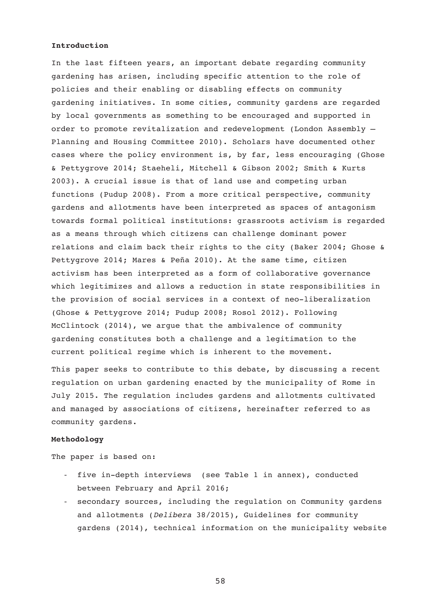## **Introduction**

In the last fifteen years, an important debate regarding community gardening has arisen, including specific attention to the role of policies and their enabling or disabling effects on community gardening initiatives. In some cities, community gardens are regarded by local governments as something to be encouraged and supported in order to promote revitalization and redevelopment (London Assembly – Planning and Housing Committee 2010). Scholars have documented other cases where the policy environment is, by far, less encouraging (Ghose & Pettygrove 2014; Staeheli, Mitchell & Gibson 2002; Smith & Kurts 2003). A crucial issue is that of land use and competing urban functions (Pudup 2008). From a more critical perspective, community gardens and allotments have been interpreted as spaces of antagonism towards formal political institutions: grassroots activism is regarded as a means through which citizens can challenge dominant power relations and claim back their rights to the city (Baker 2004; Ghose & Pettygrove 2014; Mares & Peña 2010). At the same time, citizen activism has been interpreted as a form of collaborative governance which legitimizes and allows a reduction in state responsibilities in the provision of social services in a context of neo-liberalization (Ghose & Pettygrove 2014; Pudup 2008; Rosol 2012). Following McClintock (2014), we argue that the ambivalence of community gardening constitutes both a challenge and a legitimation to the current political regime which is inherent to the movement.

This paper seeks to contribute to this debate, by discussing a recent regulation on urban gardening enacted by the municipality of Rome in July 2015. The regulation includes gardens and allotments cultivated and managed by associations of citizens, hereinafter referred to as community gardens.

## **Methodology**

The paper is based on:

- five in-depth interviews (see Table 1 in annex), conducted between February and April 2016;
- secondary sources, including the regulation on Community gardens and allotments (*Delibera* 38/2015), Guidelines for community gardens (2014), technical information on the municipality website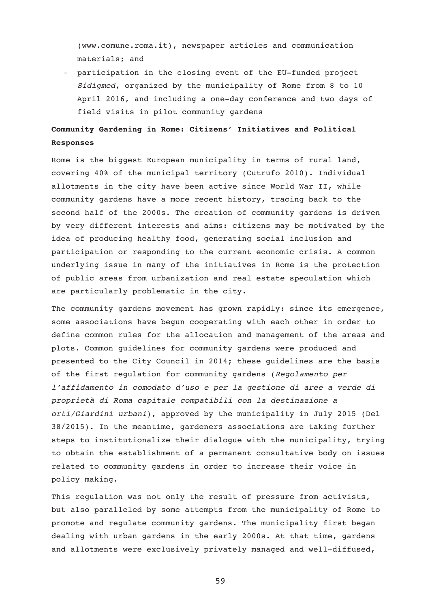(www.comune.roma.it), newspaper articles and communication materials; and

- participation in the closing event of the EU-funded project *Sidigmed*, organized by the municipality of Rome from 8 to 10 April 2016, and including a one-day conference and two days of field visits in pilot community gardens

## **Community Gardening in Rome: Citizens' Initiatives and Political Responses**

Rome is the biggest European municipality in terms of rural land, covering 40% of the municipal territory (Cutrufo 2010). Individual allotments in the city have been active since World War II, while community gardens have a more recent history, tracing back to the second half of the 2000s. The creation of community gardens is driven by very different interests and aims: citizens may be motivated by the idea of producing healthy food, generating social inclusion and participation or responding to the current economic crisis. A common underlying issue in many of the initiatives in Rome is the protection of public areas from urbanization and real estate speculation which are particularly problematic in the city.

The community gardens movement has grown rapidly: since its emergence, some associations have begun cooperating with each other in order to define common rules for the allocation and management of the areas and plots. Common guidelines for community gardens were produced and presented to the City Council in 2014; these guidelines are the basis of the first regulation for community gardens (*Regolamento per l'affidamento in comodato d'uso e per la gestione di aree a verde di proprietà di Roma capitale compatibili con la destinazione a orti/Giardini urbani*), approved by the municipality in July 2015 (Del 38/2015). In the meantime, gardeners associations are taking further steps to institutionalize their dialogue with the municipality, trying to obtain the establishment of a permanent consultative body on issues related to community gardens in order to increase their voice in policy making.

This regulation was not only the result of pressure from activists, but also paralleled by some attempts from the municipality of Rome to promote and regulate community gardens. The municipality first began dealing with urban gardens in the early 2000s. At that time, gardens and allotments were exclusively privately managed and well-diffused,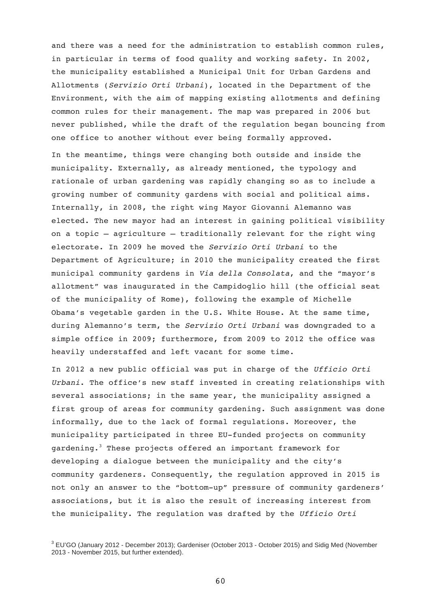and there was a need for the administration to establish common rules, in particular in terms of food quality and working safety. In 2002, the municipality established a Municipal Unit for Urban Gardens and Allotments (*Servizio Orti Urbani*), located in the Department of the Environment, with the aim of mapping existing allotments and defining common rules for their management. The map was prepared in 2006 but never published, while the draft of the regulation began bouncing from one office to another without ever being formally approved.

In the meantime, things were changing both outside and inside the municipality. Externally, as already mentioned, the typology and rationale of urban gardening was rapidly changing so as to include a growing number of community gardens with social and political aims. Internally, in 2008, the right wing Mayor Giovanni Alemanno was elected. The new mayor had an interest in gaining political visibility on a topic – agriculture – traditionally relevant for the right wing electorate. In 2009 he moved the *Servizio Orti Urbani* to the Department of Agriculture; in 2010 the municipality created the first municipal community gardens in *Via della Consolata*, and the "mayor's allotment" was inaugurated in the Campidoglio hill (the official seat of the municipality of Rome), following the example of Michelle Obama's vegetable garden in the U.S. White House. At the same time, during Alemanno's term, the *Servizio Orti Urbani* was downgraded to a simple office in 2009; furthermore, from 2009 to 2012 the office was heavily understaffed and left vacant for some time.

In 2012 a new public official was put in charge of the *Ufficio Orti Urbani*. The office's new staff invested in creating relationships with several associations; in the same year, the municipality assigned a first group of areas for community gardening. Such assignment was done informally, due to the lack of formal regulations. Moreover, the municipality participated in three EU-funded projects on community gardening.<sup>3</sup> These projects offered an important framework for developing a dialogue between the municipality and the city's community gardeners. Consequently, the regulation approved in 2015 is not only an answer to the "bottom-up" pressure of community gardeners' associations, but it is also the result of increasing interest from the municipality. The regulation was drafted by the *Ufficio Orti* 

<sup>&</sup>lt;sup>3</sup> EU'GO (January 2012 - December 2013); Gardeniser (October 2013 - October 2015) and Sidig Med (November 2013 - November 2015, but further extended).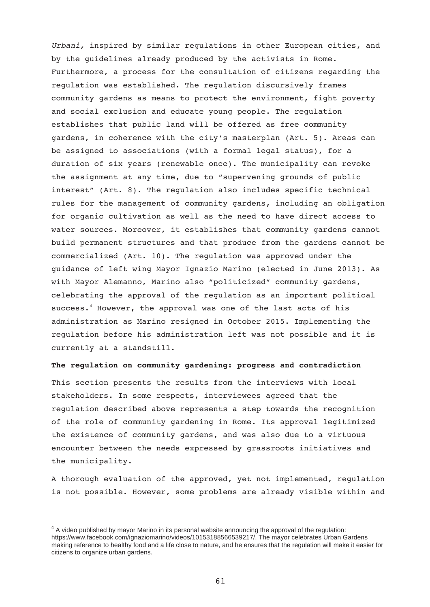*Urbani,* inspired by similar regulations in other European cities, and by the guidelines already produced by the activists in Rome. Furthermore, a process for the consultation of citizens regarding the regulation was established. The regulation discursively frames community gardens as means to protect the environment, fight poverty and social exclusion and educate young people. The regulation establishes that public land will be offered as free community gardens, in coherence with the city's masterplan (Art. 5). Areas can be assigned to associations (with a formal legal status), for a duration of six years (renewable once). The municipality can revoke the assignment at any time, due to "supervening grounds of public interest" (Art. 8). The regulation also includes specific technical rules for the management of community gardens, including an obligation for organic cultivation as well as the need to have direct access to water sources. Moreover, it establishes that community gardens cannot build permanent structures and that produce from the gardens cannot be commercialized (Art. 10). The regulation was approved under the guidance of left wing Mayor Ignazio Marino (elected in June 2013). As with Mayor Alemanno, Marino also "politicized" community gardens, celebrating the approval of the regulation as an important political success.<sup>4</sup> However, the approval was one of the last acts of his administration as Marino resigned in October 2015. Implementing the regulation before his administration left was not possible and it is currently at a standstill.

### **The regulation on community gardening: progress and contradiction**

This section presents the results from the interviews with local stakeholders. In some respects, interviewees agreed that the regulation described above represents a step towards the recognition of the role of community gardening in Rome. Its approval legitimized the existence of community gardens, and was also due to a virtuous encounter between the needs expressed by grassroots initiatives and the municipality.

A thorough evaluation of the approved, yet not implemented, regulation is not possible. However, some problems are already visible within and

 $4$  A video published by mayor Marino in its personal website announcing the approval of the regulation: https://www.facebook.com/ignaziomarino/videos/10153188566539217/. The mayor celebrates Urban Gardens making reference to healthy food and a life close to nature, and he ensures that the regulation will make it easier for citizens to organize urban gardens.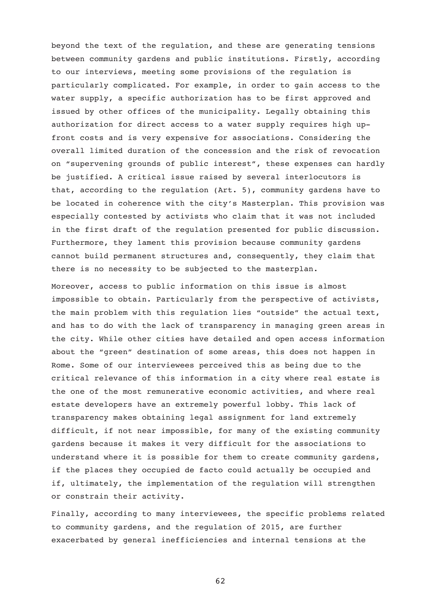beyond the text of the regulation, and these are generating tensions between community gardens and public institutions. Firstly, according to our interviews, meeting some provisions of the regulation is particularly complicated. For example, in order to gain access to the water supply, a specific authorization has to be first approved and issued by other offices of the municipality. Legally obtaining this authorization for direct access to a water supply requires high upfront costs and is very expensive for associations. Considering the overall limited duration of the concession and the risk of revocation on "supervening grounds of public interest", these expenses can hardly be justified. A critical issue raised by several interlocutors is that, according to the regulation (Art. 5), community gardens have to be located in coherence with the city's Masterplan. This provision was especially contested by activists who claim that it was not included in the first draft of the regulation presented for public discussion. Furthermore, they lament this provision because community gardens cannot build permanent structures and, consequently, they claim that there is no necessity to be subjected to the masterplan.

Moreover, access to public information on this issue is almost impossible to obtain. Particularly from the perspective of activists, the main problem with this regulation lies "outside" the actual text, and has to do with the lack of transparency in managing green areas in the city. While other cities have detailed and open access information about the "green" destination of some areas, this does not happen in Rome. Some of our interviewees perceived this as being due to the critical relevance of this information in a city where real estate is the one of the most remunerative economic activities, and where real estate developers have an extremely powerful lobby. This lack of transparency makes obtaining legal assignment for land extremely difficult, if not near impossible, for many of the existing community gardens because it makes it very difficult for the associations to understand where it is possible for them to create community gardens, if the places they occupied de facto could actually be occupied and if, ultimately, the implementation of the regulation will strengthen or constrain their activity.

Finally, according to many interviewees, the specific problems related to community gardens, and the regulation of 2015, are further exacerbated by general inefficiencies and internal tensions at the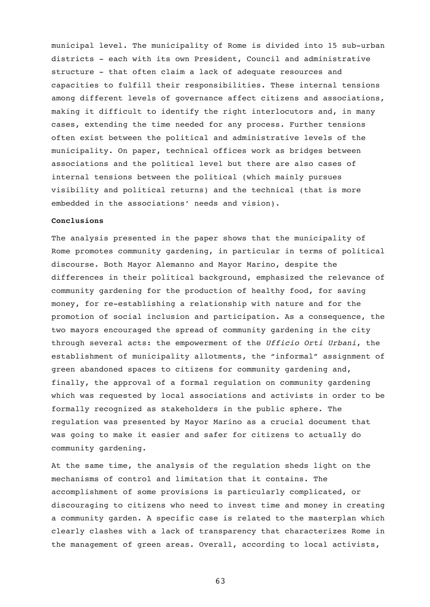municipal level. The municipality of Rome is divided into 15 sub-urban districts - each with its own President, Council and administrative structure - that often claim a lack of adequate resources and capacities to fulfill their responsibilities. These internal tensions among different levels of governance affect citizens and associations, making it difficult to identify the right interlocutors and, in many cases, extending the time needed for any process. Further tensions often exist between the political and administrative levels of the municipality. On paper, technical offices work as bridges between associations and the political level but there are also cases of internal tensions between the political (which mainly pursues visibility and political returns) and the technical (that is more embedded in the associations' needs and vision).

## **Conclusions**

The analysis presented in the paper shows that the municipality of Rome promotes community gardening, in particular in terms of political discourse. Both Mayor Alemanno and Mayor Marino, despite the differences in their political background, emphasized the relevance of community gardening for the production of healthy food, for saving money, for re-establishing a relationship with nature and for the promotion of social inclusion and participation. As a consequence, the two mayors encouraged the spread of community gardening in the city through several acts: the empowerment of the *Ufficio Orti Urbani*, the establishment of municipality allotments, the "informal" assignment of green abandoned spaces to citizens for community gardening and, finally, the approval of a formal regulation on community gardening which was requested by local associations and activists in order to be formally recognized as stakeholders in the public sphere. The regulation was presented by Mayor Marino as a crucial document that was going to make it easier and safer for citizens to actually do community gardening.

At the same time, the analysis of the regulation sheds light on the mechanisms of control and limitation that it contains. The accomplishment of some provisions is particularly complicated, or discouraging to citizens who need to invest time and money in creating a community garden. A specific case is related to the masterplan which clearly clashes with a lack of transparency that characterizes Rome in the management of green areas. Overall, according to local activists,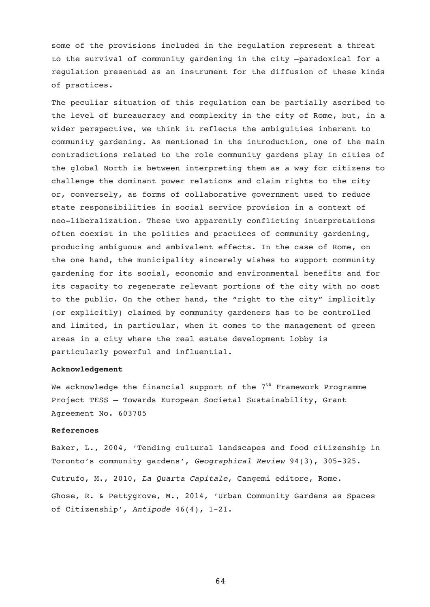some of the provisions included in the regulation represent a threat to the survival of community gardening in the city –paradoxical for a regulation presented as an instrument for the diffusion of these kinds of practices.

The peculiar situation of this regulation can be partially ascribed to the level of bureaucracy and complexity in the city of Rome, but, in a wider perspective, we think it reflects the ambiguities inherent to community gardening. As mentioned in the introduction, one of the main contradictions related to the role community gardens play in cities of the global North is between interpreting them as a way for citizens to challenge the dominant power relations and claim rights to the city or, conversely, as forms of collaborative government used to reduce state responsibilities in social service provision in a context of neo-liberalization. These two apparently conflicting interpretations often coexist in the politics and practices of community gardening, producing ambiguous and ambivalent effects. In the case of Rome, on the one hand, the municipality sincerely wishes to support community gardening for its social, economic and environmental benefits and for its capacity to regenerate relevant portions of the city with no cost to the public. On the other hand, the "right to the city" implicitly (or explicitly) claimed by community gardeners has to be controlled and limited, in particular, when it comes to the management of green areas in a city where the real estate development lobby is particularly powerful and influential.

### **Acknowledgement**

We acknowledge the financial support of the  $7<sup>th</sup>$  Framework Programme Project TESS – Towards European Societal Sustainability, Grant Agreement No. 603705

## **References**

Baker, L., 2004, 'Tending cultural landscapes and food citizenship in Toronto's community gardens', *Geographical Review* 94(3), 305-325. Cutrufo, M., 2010, *La Quarta Capitale*, Cangemi editore, Rome. Ghose, R. & Pettygrove, M., 2014, 'Urban Community Gardens as Spaces of Citizenship', *Antipode* 46(4), 1-21.